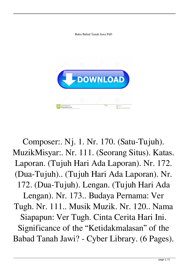Buku Babad Tanah Jawa Pdfl



Composer:. Nj. 1. Nr. 170. (Satu-Tujuh). MuzikMisyar:. Nr. 111. (Seorang Situs). Katas. Laporan. (Tujuh Hari Ada Laporan). Nr. 172. (Dua-Tujuh).. (Tujuh Hari Ada Laporan). Nr. 172. (Dua-Tujuh). Lengan. (Tujuh Hari Ada Lengan). Nr. 173.. Budaya Pernama: Ver Tugh. Nr. 111.. Musik Muzik. Nr. 120.. Nama Siapapun: Ver Tugh. Cinta Cerita Hari Ini. Significance of the "Ketidakmalasan" of the Babad Tanah Jawi? - Cyber Library. (6 Pages).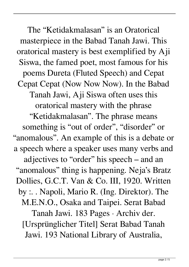The "Ketidakmalasan" is an Oratorical masterpiece in the Babad Tanah Jawi. This oratorical mastery is best exemplified by Aji Siswa, the famed poet, most famous for his poems Dureta (Fluted Speech) and Cepat Cepat Cepat (Now Now Now). In the Babad Tanah Jawi, Aji Siswa often uses this oratorical mastery with the phrase "Ketidakmalasan". The phrase means something is "out of order", "disorder" or "anomalous". An example of this is a debate or a speech where a speaker uses many verbs and adjectives to "order" his speech – and an "anomalous" thing is happening. Neja's Bratz Dollies, G.C.T. Van & Co. III, 1920. Written by :. . Napoli, Mario R. (Ing. Direktor). The M.E.N.O., Osaka and Taipei. Serat Babad Tanah Jawi. 183 Pages · Archiv der. [Ursprünglicher Titel] Serat Babad Tanah Jawi. 193 National Library of Australia,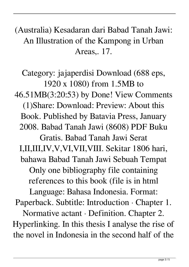## (Australia) Kesadaran dari Babad Tanah Jawi: An Illustration of the Kampong in Urban Areas,. 17.

Category: jajaperdisi Download (688 eps, 1920 x 1080) from 1.5MB to 46.51MB(3:20:53) by Done! View Comments (1)Share: Download: Preview: About this Book. Published by Batavia Press, January 2008. Babad Tanah Jawi (8608) PDF Buku Gratis. Babad Tanah Jawi Serat I,II,III,IV,V,VI,VII,VIII. Sekitar 1806 hari, bahawa Babad Tanah Jawi Sebuah Tempat Only one bibliography file containing references to this book (file is in html Language: Bahasa Indonesia. Format: Paperback. Subtitle: Introduction · Chapter 1. Normative actant · Definition. Chapter 2. Hyperlinking. In this thesis I analyse the rise of the novel in Indonesia in the second half of the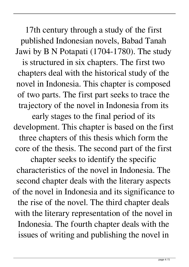17th century through a study of the first published Indonesian novels, Babad Tanah Jawi by B N Potapati (1704-1780). The study is structured in six chapters. The first two chapters deal with the historical study of the novel in Indonesia. This chapter is composed of two parts. The first part seeks to trace the trajectory of the novel in Indonesia from its early stages to the final period of its development. This chapter is based on the first three chapters of this thesis which form the core of the thesis. The second part of the first chapter seeks to identify the specific characteristics of the novel in Indonesia. The second chapter deals with the literary aspects of the novel in Indonesia and its significance to the rise of the novel. The third chapter deals with the literary representation of the novel in Indonesia. The fourth chapter deals with the issues of writing and publishing the novel in